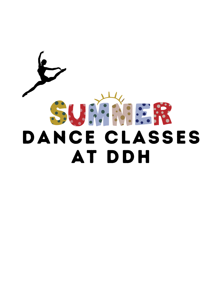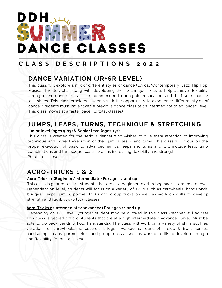# DDH **ANGER** DANCE CLASSES

## **C L A S S D E S C R I P T I O N S 2 0 2 2**

# **DANCE VARIATION (JR+SR LEVEL)**

This class will explore a mix of different styles of dance (Lyrical/Contemporary, Jazz, Hip Hop, Musical Theater, etc.) along with developing their technique skills to help achieve flexibility, strength, and dance skills. It is recommended to bring clean sneakers and half-sole shoes / jazz shoes. This class provides students with the opportunity to experience different styles of dance. Students must have taken a previous dance class at an intermediate to advanced level. This class moves at a faster pace. (6 total classes)

# **JUMPS, LEAPS, TURNS, TECHNIQUE & STRETCHING**

#### **Junior level (ages 9-13) & Senior level(ages 13+)**

This class is created for the serious dancer who wishes to give extra attention to improving technique and correct execution of their jumps, leaps and turns. This class will focus on the proper execution of basic to advanced jumps, leaps and turns and will include leap/jump combinations and turn sequences as well as increasing flexibility and strength. (6 t0tal classes)

### **ACRO-TRICKS 1 & 2**

### **Acro-Tricks 1 (Beginner/intermediate) For ages 7 and up**

This class is geared toward students that are at a beginner level to beginner Intermediate level. Dependent on level, students will focus on a variety of skills such as cartwheels, handstands, bridges, Leaps, jumps, partner tricks and group tricks as well as work on drills to develop strength and flexibility. (6 total classes)

#### **Acro-Tricks 2 (Intermediate/advanced) For ages 11 and up**

(Depending on skill level, younger student may be allowed in this class -teacher will advise) This class is geared toward students that are at a high intermediate / advanced level (Must be able to do back bends & hold handstands). The class will work on a variety of skills such as variations of cartwheels, handstands, bridges, walkovers, round-offs, side & front aerials, handsprings, leaps, partner tricks and group tricks as well as work on drills to develop strength and flexibility. (6 total classes)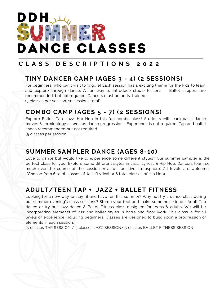

# **C L A S S D E S C R I P T I O N S 2 0 2 2**

# **TINY DANCER CAMP (AGES 3 - 4) (2 SESSIONS)**

For beginners, who can't wait to wiggle! Each session has a exciting theme for the kids to learn and explore through dance. A fun way to introduce studio lessons . Ballet slippers are recommended, but not required. Dancers must be potty-trained. (5 classes per session, 10 sessions total)

### **COMBO CAMP (AGES 5 - 7) (2 SESSIONS)**

Explore Ballet, Tap, Jazz, Hip Hop in this fun combo class! Students will learn basic dance moves & terminology as well as dance progressions. Experience is not required. Tap and ballet shoes recommended but not required.

(5 classes per session)

### **SUMMER SAMPLER DANCE (AGES 8-10)**

Love to dance but would like to experience some different styles? Our summer sampler is the perfect class for you! Explore some different styles in Jazz, Lyrical & Hip Hop. Dancers learn so much over the course of the session in a fun, positive atmosphere. All levels are welcome. (Choose from 6 total classes of Jazz/Lyrical or 6 total classes of Hip Hop)

## **ADULT/TEEN TAP + JAZZ + BALLET FITNESS**

Looking for a new way to stay fit and have fun this summer? Why not try a dance class during our summer evening's class sessions? Stomp your feet and make some noise in our Adult Tap dance or try our Jazz dance & Ballet Fitness class designed for teens & adults. We will be incorporating elements of jazz and ballet styles in barre and floor work. This class is for all levels of experience including beginners. Classes are designed to build upon a progression of elements in each session.

(5 classes TAP SESSION / 5 classes JAZZ SESSION/ 5 classes BALLET FITNESS SESSION)